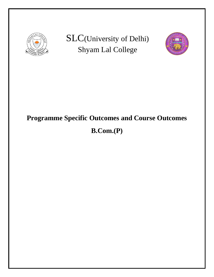

SLC(University of Delhi) Shyam Lal College



# **Programme Specific Outcomes and Course Outcomes**

# **B.Com.(P)**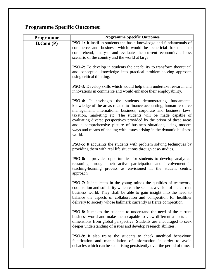# **Programme Specific Outcomes:**

| <b>Programme</b> | <b>Programme Specific Outcomes</b>                                                                                                                                                                                                                                                                                                                                                                                                                                                                            |
|------------------|---------------------------------------------------------------------------------------------------------------------------------------------------------------------------------------------------------------------------------------------------------------------------------------------------------------------------------------------------------------------------------------------------------------------------------------------------------------------------------------------------------------|
| B. Com(P)        | <b>PSO-1:</b> It instil in students the basic knowledge and fundamentals of<br>commerce and business which would be beneficial for them to<br>comprehend, analyse and evaluate the current economic/business<br>scenario of the country and the world at large.                                                                                                                                                                                                                                               |
|                  | PSO-2: To develop in students the capability to transform theoretical<br>and conceptual knowledge into practical problem-solving approach<br>using critical thinking.                                                                                                                                                                                                                                                                                                                                         |
|                  | <b>PSO-3:</b> Develop skills which would help them undertake research and<br>innovations in commerce and would enhance their employability.                                                                                                                                                                                                                                                                                                                                                                   |
|                  | <b>PSO-4:</b> It envisages the students demonstrating fundamental<br>knowledge of the areas related to finance accounting, human resource<br>management, international business, corporate and business laws,<br>taxation, marketing etc. The students will be made capable of<br>evaluating diverse perspectives provided by the prism of these areas<br>and a comprehensive picture of business situations, using modern<br>ways and means of dealing with issues arising in the dynamic business<br>world. |
|                  | <b>PSO-5:</b> It acquaints the students with problem solving techniques by<br>providing them with real life situations through case-studies.                                                                                                                                                                                                                                                                                                                                                                  |
|                  | <b>PSO-6:</b> It provides opportunities for students to develop analytical<br>reasoning through their active participation and involvement in<br>teaching-learning process as envisioned in the student centric<br>approach.                                                                                                                                                                                                                                                                                  |
|                  | <b>PSO-7:</b> It inculcates in the young minds the qualities of teamwork,<br>cooperation and solidarity which can be seen as a vision of the current<br>business world. They shall be able to gain insight into the need to<br>balance the aspects of collaboration and competition for healthier<br>delivery to society whose hallmark currently is fierce competition.                                                                                                                                      |
|                  | <b>PSO-8:</b> It makes the students to understand the need of the current<br>business world and make them capable to view different aspects and<br>dimensions from global perspective. Students are encouraged to seek<br>deeper understanding of issues and develop research abilities.                                                                                                                                                                                                                      |
|                  | <b>PSO-9:</b> It also trains the students to check unethical behaviour,<br>falsification and manipulation of information in order to avoid<br>debacles which can be seen rising persistently over the period of time.                                                                                                                                                                                                                                                                                         |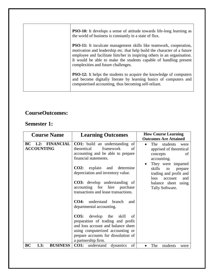| <b>PSO-10:</b> It develops a sense of attitude towards life-long learning as<br>the world of business is constantly in a state of flux.                                                                                                                                                                                                      |
|----------------------------------------------------------------------------------------------------------------------------------------------------------------------------------------------------------------------------------------------------------------------------------------------------------------------------------------------|
| <b>PSO-11:</b> It inculcate management skills like teamwork, cooperation,<br>motivation and leadership etc. that help build the character of a future<br>employee and facilitate him/her in inspiring others in an organisation.<br>It would be able to make the students capable of handling present<br>complexities and future challenges. |
| <b>PSO-12:</b> It helps the students to acquire the knowledge of computers<br>and become digitally literate by learning basics of computers and<br>computerised accounting, thus becoming self-reliant.                                                                                                                                      |

#### **CourseOutcomes:**

#### **Semester 1:**

| <b>Course Name</b>                                 | <b>Learning Outcomes</b>                                                                                                                                                                                                                                                                                                                                                                                                                                                                                                                                         | <b>How Course Learning</b><br><b>Outcomes Are Attained</b>                                                                                                                                                                                                   |
|----------------------------------------------------|------------------------------------------------------------------------------------------------------------------------------------------------------------------------------------------------------------------------------------------------------------------------------------------------------------------------------------------------------------------------------------------------------------------------------------------------------------------------------------------------------------------------------------------------------------------|--------------------------------------------------------------------------------------------------------------------------------------------------------------------------------------------------------------------------------------------------------------|
| <b>FINANCIAL</b><br>$BC$ 1.2:<br><b>ACCOUNTING</b> | CO1: build an understanding of<br>framework<br>theoretical<br>of<br>accounting and be able to prepare<br>financial statements.<br>explain and<br><b>CO2:</b><br>determine<br>depreciation and inventory value.<br><b>CO3:</b> develop understanding of<br>accounting for<br>hire<br>purchase<br>transactions and lease transactions.<br>understand<br>CO4:<br>branch<br>and<br>departmental accounting.<br><b>CO5:</b> develop the<br>skill<br>of<br>preparation of trading and profit<br>and loss account and balance sheet<br>using computerized accounting or | The<br>students<br>were<br>$\bullet$<br>apprised of theoretical<br>of<br>concepts<br>accounting.<br>They were imparted<br>$\bullet$<br>skills<br>to<br>prepare<br>trading and profit and<br>loss<br>account<br>and<br>balance sheet using<br>Tally Software. |
| <b>BUSINESS</b><br>BC<br>1.3:                      | prepare accounts for dissolution of<br>a partnership firm.<br>of<br><b>CO1:</b> understand<br>dynamics                                                                                                                                                                                                                                                                                                                                                                                                                                                           | The<br>students<br>were                                                                                                                                                                                                                                      |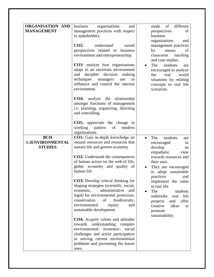| <b>ORGANISATION AND</b><br><b>MANAGEMENT</b> | organisations<br>business<br>and<br>management practices with respect<br>to stakeholders.<br>$CO2$ :<br>understand<br>varied<br>perspectives related to business<br>environment and entrepreneurship.<br><b>CO3:</b> analyze how organisations<br>adapt to an uncertain environment<br>and decipher decision<br>making<br>techniques managers<br>use<br>to<br>influence and control the internal<br>environment.<br><b>CO4:</b> analyze the relationship<br>amongst functions of management<br>i.e. planning, organizing, directing<br>and controlling.                                                                                                                                                                  | of<br>different<br>made<br>perspectives<br>of<br>business<br>organisations<br>and<br>management practices<br>by<br>of<br>means<br>teaching<br>classroom<br>and case studies.<br>The<br>students<br>are<br>$\bullet$<br>encouraged to analyze<br>the<br>real<br>world<br>situations by relating<br>concepts to real life<br>scenarios.          |
|----------------------------------------------|--------------------------------------------------------------------------------------------------------------------------------------------------------------------------------------------------------------------------------------------------------------------------------------------------------------------------------------------------------------------------------------------------------------------------------------------------------------------------------------------------------------------------------------------------------------------------------------------------------------------------------------------------------------------------------------------------------------------------|------------------------------------------------------------------------------------------------------------------------------------------------------------------------------------------------------------------------------------------------------------------------------------------------------------------------------------------------|
| <b>BCH</b>                                   | <b>CO5:</b> appreciate the change in<br>working pattern<br>of<br>modern<br>organisations.<br>CO1: Gain in-depth knowledge on                                                                                                                                                                                                                                                                                                                                                                                                                                                                                                                                                                                             | The<br>students<br>$\bullet$<br>are                                                                                                                                                                                                                                                                                                            |
| 1.1ENVIRONMENTAL<br><b>STUDIES</b>           | natural resources and resources that<br>sustain life and govern economy<br><b>CO2:</b> Understand the consequences<br>of human action on the web of life,<br>globe; economy and quality of<br>human life<br><b>CO3:</b> Develop critical thinking for<br>shaping strategies (scientific, social,<br>economic,<br>administrative<br>and<br>legal) for environmental protection,<br>conservation<br>of<br>biodiversity,<br>environmental<br>equity<br>and<br>sustainable development<br>CO4: Acquire values and attitudes<br>towards understanding complex<br>environmental- economic-<br>social<br>challenges and active participation<br>in solving current environmental<br>problems and preventing the future<br>ones. | encouraged<br>to<br>develop<br>an<br>empathetic<br>view<br>towards resources and<br>their uses.<br>They are encouraged<br>to adopt sustainable<br>practices<br>and<br>implement the same<br>in real life.<br>The<br>students<br>undertake<br>life<br>real<br>offer<br>projects<br>and<br>ideas<br>creative<br>to<br>promote<br>sustainability. |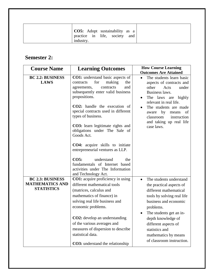| <b>CO5:</b> Adopt sustainability as a<br>practice in life, society<br>and<br>industry. |
|----------------------------------------------------------------------------------------|
|----------------------------------------------------------------------------------------|

# **Semester 2:**

| <b>Course Name</b>                                                     | <b>Learning Outcomes</b>                                                                                                                                                                                                                                                                                                                                                                                                                                                                                                               | <b>How Course Learning</b><br><b>Outcomes Are Attained</b>                                                                                                                                                                                                                                                     |
|------------------------------------------------------------------------|----------------------------------------------------------------------------------------------------------------------------------------------------------------------------------------------------------------------------------------------------------------------------------------------------------------------------------------------------------------------------------------------------------------------------------------------------------------------------------------------------------------------------------------|----------------------------------------------------------------------------------------------------------------------------------------------------------------------------------------------------------------------------------------------------------------------------------------------------------------|
| <b>BC 2.2: BUSINESS</b><br><b>LAWS</b>                                 | <b>CO1:</b> understand basic aspects of<br>for<br>making<br>contracts<br>the<br>contracts<br>and<br>agreements,<br>subsequently enter valid business<br>propositions.<br>CO2: handle the execution of<br>special contracts used in different<br>types of business.<br>CO3: learn legitimate rights and<br>obligations under The Sale of<br>Goods Act.<br><b>CO4:</b> acquire skills to initiate<br>entrepreneurial ventures as LLP.<br>CO5:<br>understand<br>the<br>fundamentals of Internet based<br>activities under The Information | The students learn basic<br>aspects of contracts and<br>other<br>Acts<br>under<br>Business laws.<br>The laws are highly<br>$\bullet$<br>relevant in real life.<br>The students are made<br>by<br>of<br>aware<br>means<br>instruction<br>classroom<br>and taking up real life<br>case laws.                     |
| <b>BC 2.3: BUSINESS</b><br><b>MATHEMATICS AND</b><br><b>STATISTICS</b> | and Technology Act.<br><b>CO1:</b> acquire proficiency in using<br>different mathematical tools<br>(matrices, calculus and<br>mathematics of finance) in<br>solving real life business and<br>economic problems.<br>CO2: develop an understanding<br>of the various averages and<br>measures of dispersion to describe<br>statistical data.<br><b>CO3:</b> understand the relationship                                                                                                                                                 | The students understand<br>$\bullet$<br>the practical aspects of<br>different mathematical<br>tools by solving real life<br>business and economic<br>problems.<br>The students get an in-<br>depth knowledge of<br>different aspects of<br>statistics and<br>mathematics by means<br>of classroom instruction. |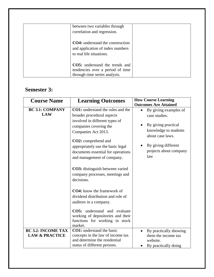| between two variables through<br>correlation and regression.                                               |  |
|------------------------------------------------------------------------------------------------------------|--|
| <b>CO4:</b> understand the construction<br>and application of index numbers<br>to real life situations.    |  |
| <b>CO5:</b> understand the trends and<br>tendencies over a period of time<br>through time series analysis. |  |

#### **Semester 3:**

| <b>Course Name</b>                                     | <b>Learning Outcomes</b>                                                                                                                                                                                                                                                                                                                                                                                                                                                                                                         | <b>How Course Learning</b><br><b>Outcomes Are Attained</b>                                                                                                         |
|--------------------------------------------------------|----------------------------------------------------------------------------------------------------------------------------------------------------------------------------------------------------------------------------------------------------------------------------------------------------------------------------------------------------------------------------------------------------------------------------------------------------------------------------------------------------------------------------------|--------------------------------------------------------------------------------------------------------------------------------------------------------------------|
| <b>BC 3.1: COMPANY</b><br><b>LAW</b>                   | <b>CO1:</b> understand the rules and the<br>broader procedural aspects<br>involved in different types of<br>companies covering the<br>Companies Act 2013.<br>CO2: comprehend and<br>appropriately use the basic legal<br>documents essential for operations<br>and management of company.<br><b>CO3</b> : distinguish between varied<br>company processes, meetings and<br>decisions.<br><b>CO4:</b> know the framework of<br>dividend distribution and role of<br>auditors in a company.<br><b>CO5:</b> understand and evaluate | By giving examples of<br>case studies.<br>By giving practical<br>knowledge to students<br>about case laws.<br>By giving different<br>projects about company<br>law |
|                                                        | working of depositories and their<br>functions for working in stock<br>market.                                                                                                                                                                                                                                                                                                                                                                                                                                                   |                                                                                                                                                                    |
| <b>BC 3.2: INCOME TAX</b><br><b>LAW &amp; PRACTICE</b> | <b>CO1:</b> understand the basic<br>concepts in the law of income tax<br>and determine the residential<br>status of different persons.                                                                                                                                                                                                                                                                                                                                                                                           | By practically showing<br>them the income tax<br>website.<br>By practically doing                                                                                  |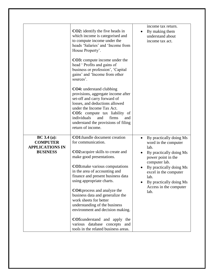|                                                                             | <b>CO2</b> : identify the five heads in<br>which income is categorised and<br>to compute income under the<br>heads 'Salaries' and 'Income from<br>House Property'.                                                                                                                                                                                                                                                                                                                                 | income tax return.<br>By making them<br>understand about<br>income tax act.                                                                                                                                                                                     |
|-----------------------------------------------------------------------------|----------------------------------------------------------------------------------------------------------------------------------------------------------------------------------------------------------------------------------------------------------------------------------------------------------------------------------------------------------------------------------------------------------------------------------------------------------------------------------------------------|-----------------------------------------------------------------------------------------------------------------------------------------------------------------------------------------------------------------------------------------------------------------|
|                                                                             | <b>CO3</b> : compute income under the<br>head 'Profits and gains of<br>business or profession', 'Capital<br>gains' and 'Income from other<br>sources'.                                                                                                                                                                                                                                                                                                                                             |                                                                                                                                                                                                                                                                 |
|                                                                             | <b>CO4:</b> understand clubbing<br>provisions, aggregate income after<br>set-off and carry forward of<br>losses, and deductions allowed<br>under the Income Tax Act.<br><b>CO5:</b> compute tax liability of<br>individuals<br>firms<br>and<br>and<br>understand the provisions of filing<br>return of income.                                                                                                                                                                                     |                                                                                                                                                                                                                                                                 |
| BC 3.4 (a):<br><b>COMPUTER</b><br><b>APPLICATIONS IN</b><br><b>BUSINESS</b> | <b>CO1:handle document creation</b><br>for communication.<br><b>CO2:</b> acquire skills to create and<br>make good presentations.<br><b>CO3:</b> make various computations<br>in the area of accounting and<br>finance and present business data<br>using appropriate charts.<br><b>CO4:</b> process and analyze the<br>business data and generalize the<br>work sheets for better<br>understanding of the business<br>environment and decision making.<br><b>CO5:</b> understand and apply<br>the | By practically doing Ms<br>$\bullet$<br>word in the computer<br>lab.<br>By practically doing Ms<br>power point in the<br>computer lab.<br>By practically doing Ms<br>excel in the computer<br>lab.<br>By practically doing Ms<br>Access in the computer<br>lab. |
|                                                                             | various database concepts<br>and<br>tools in the related business areas.                                                                                                                                                                                                                                                                                                                                                                                                                           |                                                                                                                                                                                                                                                                 |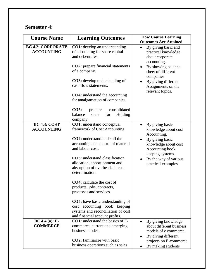# **Semester 4:**

| <b>Course Name</b>                            | <b>Learning Outcomes</b>                                                                                                                        | <b>How Course Learning</b><br><b>Outcomes Are Attained</b>                     |
|-----------------------------------------------|-------------------------------------------------------------------------------------------------------------------------------------------------|--------------------------------------------------------------------------------|
| <b>BC 4.2: CORPORATE</b><br><b>ACCOUNTING</b> | <b>CO1:</b> develop an understanding<br>of accounting for share capital<br>and debentures.                                                      | By giving basic and<br>practical knowledge<br>about corporate<br>accounting.   |
|                                               | <b>CO2</b> : prepare financial statements<br>of a company.                                                                                      | By showing balance<br>$\bullet$<br>sheet of different<br>companies             |
|                                               | <b>CO3</b> : develop understanding of<br>cash flow statements.                                                                                  | By giving different<br>$\bullet$<br>Assignments on the<br>relevant topics.     |
|                                               | <b>CO4:</b> understand the accounting<br>for amalgamation of companies.                                                                         |                                                                                |
|                                               | consolidated<br>CO5:<br>prepare<br>sheet<br>balance<br>for<br>Holding<br>company.                                                               |                                                                                |
| <b>BC 4.3: COST</b><br><b>ACCOUNTING</b>      | CO1: understand conceptual<br>framework of Cost Accounting.                                                                                     | By giving basic<br>$\bullet$<br>knowledge about cost<br>Accounting.            |
|                                               | CO2: understand in detail the<br>accounting and control of material<br>and labour cost.                                                         | By giving basic<br>knowledge about cost<br>Accounting book<br>keeping systems. |
|                                               | CO3: understand classification,<br>allocation, apportionment and<br>absorption of overheads in cost<br>determination.                           | By the way of various<br>practical examples                                    |
|                                               | <b>CO4</b> : calculate the cost of<br>products, jobs, contracts,<br>processes and services.                                                     |                                                                                |
|                                               | <b>CO5:</b> have basic understanding of<br>cost accounting book keeping<br>systems and reconciliation of cost<br>and financial account profits. |                                                                                |
| $BC 4.4 (a): E-$<br><b>COMMERCE</b>           | <b>CO1:</b> understand the basics of E-<br>commerce, current and emerging<br>business models.                                                   | By giving knowledge<br>about different business<br>models of e commerce.       |
|                                               | <b>CO2</b> : familiarize with basic<br>business operations such as sales,                                                                       | By giving different<br>projects on E-commerce.<br>By making students           |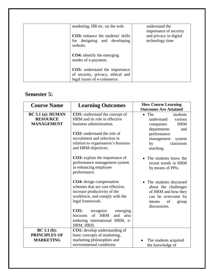| marketing, HR etc. on the web.                                                                            | understand the                                                      |
|-----------------------------------------------------------------------------------------------------------|---------------------------------------------------------------------|
| <b>CO3</b> : enhance the students' skills<br>for designing and developing<br>website.                     | importance of security<br>and privacy in digital<br>technology time |
| <b>CO4:</b> identify the emerging<br>modes of e-payment.                                                  |                                                                     |
| <b>CO5:</b> understand the importance<br>of security, privacy, ethical and<br>legal issues of e-commerce. |                                                                     |

# **Semester 5:**

| <b>Course Name</b>                                          | <b>Learning Outcomes</b>                                                                                                                           | <b>How Course Learning</b><br><b>Outcomes Are Attained</b>                                                                          |
|-------------------------------------------------------------|----------------------------------------------------------------------------------------------------------------------------------------------------|-------------------------------------------------------------------------------------------------------------------------------------|
| $BC 5.1$ (a): HUMAN<br><b>RESOURCE</b><br><b>MANAGEMENT</b> | <b>CO1:</b> understand the concept of<br>HRM and its role in effective<br>business administration.                                                 | $\bullet$ The<br>students<br>understand<br>various<br><b>HRM</b><br>companies<br>departments<br>and                                 |
|                                                             | <b>CO2</b> : understand the role of<br>recruitment and selection in<br>relation to organisation's business<br>and HRM objectives.                  | performance<br>management<br>system<br>by<br>classroom<br>teaching.                                                                 |
|                                                             | <b>CO3</b> : explain the importance of<br>performance management system<br>in enhancing employee<br>performance.                                   | The students know the<br>recent trends in HRM<br>by means of PPts.                                                                  |
|                                                             | CO4: design compensation<br>schemes that are cost effective,<br>increase productivity of the<br>workforce, and comply with the<br>legal framework. | The students discussed<br>about the challenges<br>of HRM and how they<br>can be overcome by<br>of<br>group<br>means<br>discussions. |
|                                                             | CO5:<br>recognize<br>emerging<br>of HRM<br>horizons<br>and<br>also<br>enduring international HRM, e-<br>HRM, HRIS.                                 |                                                                                                                                     |
| BC 5.1(b):<br><b>PRINCIPLES OF</b><br><b>MARKETING</b>      | <b>CO1:</b> develop understanding of<br>basic concepts of marketing,<br>marketing philosophies and<br>environmental conditions                     | The students acquired<br>the knowledge of                                                                                           |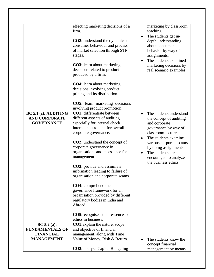|                                                                                | effecting marketing decisions of a<br>firm.<br><b>CO2</b> : understand the dynamics of<br>consumer behaviour and process<br>of market selection through STP<br>stages.<br><b>CO3</b> : learn about marketing<br>decisions related to product<br>produced by a firm.<br><b>CO4:</b> learn about marketing<br>decisions involving product<br>pricing and its distribution.<br><b>CO5:</b> learn marketing decisions<br>involving product promotion.                                                                                                                                                    | marketing by classroom<br>teaching.<br>The students get in-<br>$\bullet$<br>depth understanding<br>about consumer<br>behavior by way of<br>assignments.<br>The students examined<br>$\bullet$<br>marketing decisions by<br>real scenario examples.                                                         |
|--------------------------------------------------------------------------------|------------------------------------------------------------------------------------------------------------------------------------------------------------------------------------------------------------------------------------------------------------------------------------------------------------------------------------------------------------------------------------------------------------------------------------------------------------------------------------------------------------------------------------------------------------------------------------------------------|------------------------------------------------------------------------------------------------------------------------------------------------------------------------------------------------------------------------------------------------------------------------------------------------------------|
| <b>BC 5.1 (c): AUDITING</b><br><b>AND CORPORATE</b><br><b>GOVERNANCE</b>       | CO1: differentiate between<br>different aspects of auditing<br>especially for internal check,<br>internal control and for overall<br>corporate governance.<br>CO2: understand the concept of<br>corporate governance in<br>organisations and its essence for<br>management.<br><b>CO3</b> : provide and assimilate<br>information leading to failure of<br>organisation and corporate scams.<br>CO4: comprehend the<br>governance framework for an<br>organisation provided by different<br>regulatory bodies in India and<br>Abroad.<br><b>CO5:</b> recognise the essence of<br>ethics in business. | The students understand<br>$\bullet$<br>the concept of auditing<br>and corporate<br>governance by way of<br>classroom lectures.<br>The students examine<br>$\bullet$<br>various corporate scams<br>by doing assignments.<br>The students are<br>$\bullet$<br>encouraged to analyze<br>the business ethics. |
| BC 5.2 (a):<br><b>FUNDAMENTALS OF</b><br><b>FINANCIAL</b><br><b>MANAGEMENT</b> | <b>CO1:</b> explain the nature, scope<br>and objective of financial<br>management, along with Time<br>Value of Money, Risk & Return.<br><b>CO2:</b> analyze Capital Budgeting                                                                                                                                                                                                                                                                                                                                                                                                                        | The students know the<br>concept financial<br>management by means                                                                                                                                                                                                                                          |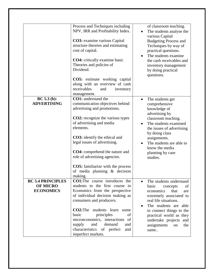|                                                                 | Process and Techniques including<br>NPV, IRR and Profitability Index.<br><b>CO3</b> : examine various Capital<br>structure theories and estimating<br>cost of capital.<br><b>CO4</b> : critically examine basic<br>Theories and policies of<br>Dividend.<br><b>CO5:</b> estimate working capital<br>along with an overview of cash<br>receivables<br>and<br>inventory                                                              | of classroom teaching.<br>The students analyse the<br>various Capital<br><b>Budgeting Process and</b><br>Techniques by way of<br>practical questions.<br>The students examine<br>the cash receivables and<br>inventory management<br>by doing practical<br>questions.            |
|-----------------------------------------------------------------|------------------------------------------------------------------------------------------------------------------------------------------------------------------------------------------------------------------------------------------------------------------------------------------------------------------------------------------------------------------------------------------------------------------------------------|----------------------------------------------------------------------------------------------------------------------------------------------------------------------------------------------------------------------------------------------------------------------------------|
| BC 5.3(b):<br><b>ADVERTISING</b>                                | management.<br><b>CO1:</b> understand the<br>communication objectives behind<br>advertising and promotions.<br><b>CO2</b> : recognize the various types<br>of advertising and media<br>elements.<br><b>CO3</b> : identify the ethical and<br>legal issues of advertising.<br><b>CO4:</b> comprehend the nature and<br>role of advertising agencies.<br><b>CO5:</b> familiarize with the process<br>of media planning $\&$ decision | The students get<br>$\bullet$<br>comprehensive<br>knowledge of<br>advertising by<br>classroom teaching.<br>The students examined<br>the issues of advertising<br>by doing class<br>assignments.<br>The students are able to<br>know the media<br>planning by case<br>studies.    |
| <b>BC 5.4 PRINCIPLES</b><br><b>OF MICRO</b><br><b>ECONOMICS</b> | making.<br><b>CO1:</b> The course introduces the<br>students to the first course in<br>Economics from the perspective<br>of individual decision making as<br>consumers and producers.<br><b>CO2:</b> The students learn some<br>principles<br>basic<br>of<br>microeconomics, interactions of<br>demand<br>supply<br>and<br>and<br>characteristics of perfect<br>and<br>imperfect markets.                                          | The students understand<br>basic<br>concepts<br>of<br>economics<br>that<br>are<br>extremely associated to<br>real life situations.<br>The students are able<br>to connect things to the<br>practical world as they<br>undertake projects and<br>assignments<br>the<br>on<br>same |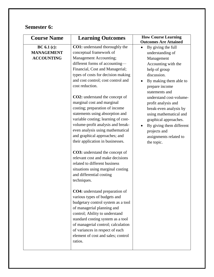## **Semester 6:**

| <b>Course Name</b>                                    | <b>Learning Outcomes</b>                                                                                                                                                                                                                                                                                                            | <b>How Course Learning</b><br><b>Outcomes Are Attained</b>                                                                                                                                                      |
|-------------------------------------------------------|-------------------------------------------------------------------------------------------------------------------------------------------------------------------------------------------------------------------------------------------------------------------------------------------------------------------------------------|-----------------------------------------------------------------------------------------------------------------------------------------------------------------------------------------------------------------|
| BC 6.1 (c):<br><b>MANAGEMENT</b><br><b>ACCOUNTING</b> | <b>CO1:</b> understand thoroughly the<br>conceptual framework of<br>Management Accounting;<br>different forms of accounting-<br>Financial, Cost and Managerial;<br>types of costs for decision making<br>and cost control; cost control and<br>cost reduction.                                                                      | By giving the full<br>understanding of<br>Management<br>Accounting with the<br>help of group<br>discussion.<br>By making them able to<br>prepare income<br>statements and                                       |
|                                                       | <b>CO2:</b> understand the concept of<br>marginal cost and marginal<br>costing; preparation of income<br>statements using absorption and<br>variable costing; learning of cost-<br>volume-profit analysis and break-<br>even analysis using mathematical<br>and graphical approaches; and<br>their application in businesses.       | understand cost-volume-<br>profit analysis and<br>break-even analysis by<br>using mathematical and<br>graphical approaches.<br>By giving them different<br>projects and<br>assignments related to<br>the topic. |
|                                                       | <b>CO3:</b> understand the concept of<br>relevant cost and make decisions<br>related to different business<br>situations using marginal costing<br>and differential costing<br>techniques.                                                                                                                                          |                                                                                                                                                                                                                 |
|                                                       | CO4: understand preparation of<br>various types of budgets and<br>budgetary control system as a tool<br>of managerial planning and<br>control; Ability to understand<br>standard costing system as a tool<br>of managerial control; calculation<br>of variances in respect of each<br>element of cost and sales; control<br>ratios. |                                                                                                                                                                                                                 |